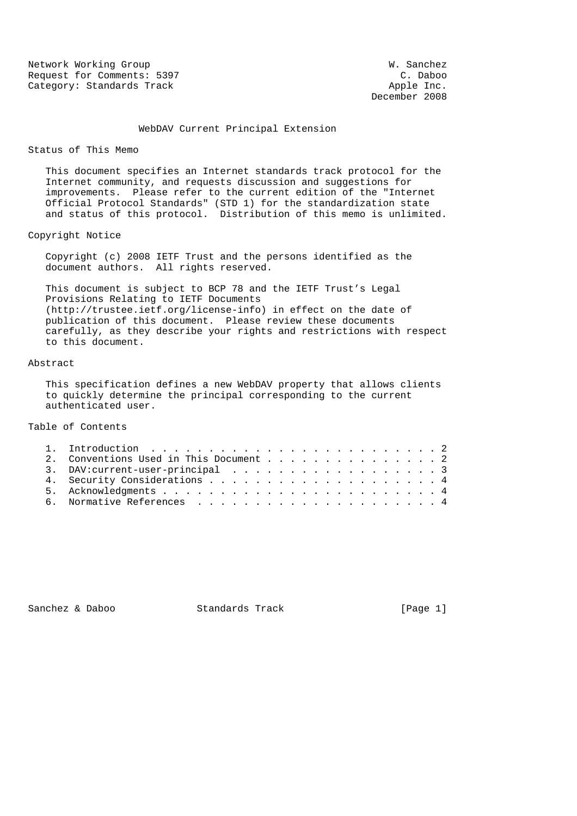Network Working Group West Communications and W. Sanchez Request for Comments: 5397 C. Daboo Category: Standards Track Apple Inc.

December 2008

## WebDAV Current Principal Extension

#### Status of This Memo

 This document specifies an Internet standards track protocol for the Internet community, and requests discussion and suggestions for improvements. Please refer to the current edition of the "Internet Official Protocol Standards" (STD 1) for the standardization state and status of this protocol. Distribution of this memo is unlimited.

Copyright Notice

 Copyright (c) 2008 IETF Trust and the persons identified as the document authors. All rights reserved.

 This document is subject to BCP 78 and the IETF Trust's Legal Provisions Relating to IETF Documents (http://trustee.ietf.org/license-info) in effect on the date of publication of this document. Please review these documents carefully, as they describe your rights and restrictions with respect to this document.

## Abstract

 This specification defines a new WebDAV property that allows clients to quickly determine the principal corresponding to the current authenticated user.

# Table of Contents

|  | 2. Conventions Used in This Document 2 |  |  |  |  |  |  |  |  |
|--|----------------------------------------|--|--|--|--|--|--|--|--|
|  | 3. DAV: current-user-principal3        |  |  |  |  |  |  |  |  |
|  |                                        |  |  |  |  |  |  |  |  |
|  |                                        |  |  |  |  |  |  |  |  |
|  |                                        |  |  |  |  |  |  |  |  |

Sanchez & Daboo Standards Track [Page 1]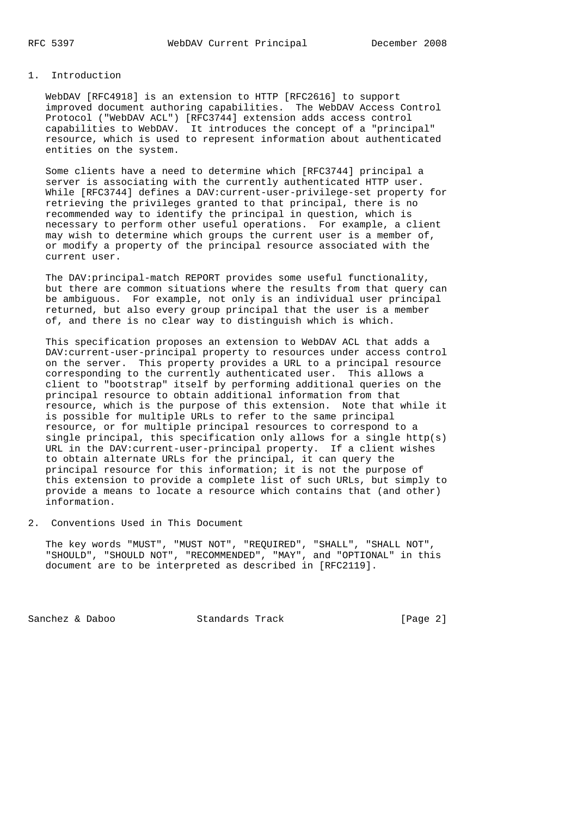## 1. Introduction

 WebDAV [RFC4918] is an extension to HTTP [RFC2616] to support improved document authoring capabilities. The WebDAV Access Control Protocol ("WebDAV ACL") [RFC3744] extension adds access control capabilities to WebDAV. It introduces the concept of a "principal" resource, which is used to represent information about authenticated entities on the system.

 Some clients have a need to determine which [RFC3744] principal a server is associating with the currently authenticated HTTP user. While [RFC3744] defines a DAV:current-user-privilege-set property for retrieving the privileges granted to that principal, there is no recommended way to identify the principal in question, which is necessary to perform other useful operations. For example, a client may wish to determine which groups the current user is a member of, or modify a property of the principal resource associated with the current user.

 The DAV:principal-match REPORT provides some useful functionality, but there are common situations where the results from that query can be ambiguous. For example, not only is an individual user principal returned, but also every group principal that the user is a member of, and there is no clear way to distinguish which is which.

 This specification proposes an extension to WebDAV ACL that adds a DAV:current-user-principal property to resources under access control on the server. This property provides a URL to a principal resource corresponding to the currently authenticated user. This allows a client to "bootstrap" itself by performing additional queries on the principal resource to obtain additional information from that resource, which is the purpose of this extension. Note that while it is possible for multiple URLs to refer to the same principal resource, or for multiple principal resources to correspond to a single principal, this specification only allows for a single  $http(s)$  URL in the DAV:current-user-principal property. If a client wishes to obtain alternate URLs for the principal, it can query the principal resource for this information; it is not the purpose of this extension to provide a complete list of such URLs, but simply to provide a means to locate a resource which contains that (and other) information.

2. Conventions Used in This Document

 The key words "MUST", "MUST NOT", "REQUIRED", "SHALL", "SHALL NOT", "SHOULD", "SHOULD NOT", "RECOMMENDED", "MAY", and "OPTIONAL" in this document are to be interpreted as described in [RFC2119].

Sanchez & Daboo Standards Track [Page 2]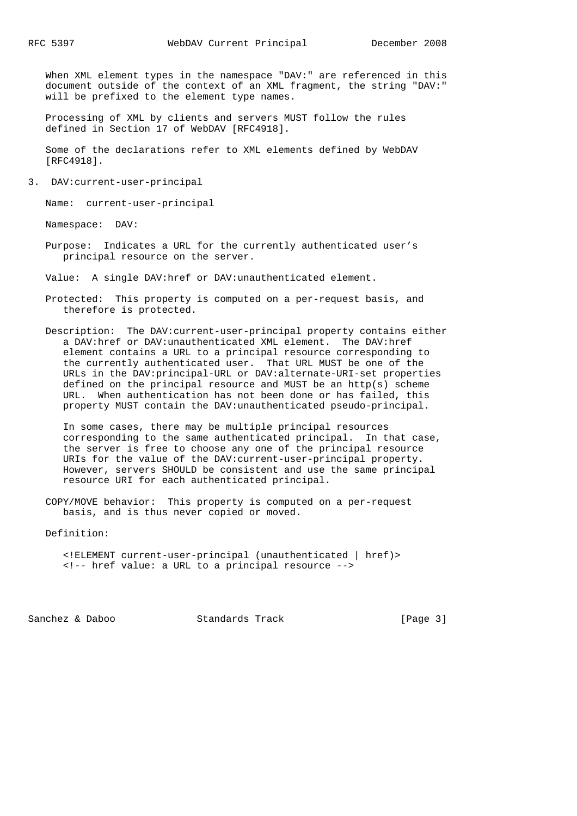When XML element types in the namespace "DAV:" are referenced in this document outside of the context of an XML fragment, the string "DAV:" will be prefixed to the element type names.

 Processing of XML by clients and servers MUST follow the rules defined in Section 17 of WebDAV [RFC4918].

 Some of the declarations refer to XML elements defined by WebDAV [RFC4918].

3. DAV:current-user-principal

Name: current-user-principal

Namespace: DAV:

 Purpose: Indicates a URL for the currently authenticated user's principal resource on the server.

Value: A single DAV:href or DAV:unauthenticated element.

- Protected: This property is computed on a per-request basis, and therefore is protected.
- Description: The DAV:current-user-principal property contains either a DAV:href or DAV:unauthenticated XML element. The DAV:href element contains a URL to a principal resource corresponding to the currently authenticated user. That URL MUST be one of the URLs in the DAV:principal-URL or DAV:alternate-URI-set properties defined on the principal resource and MUST be an http(s) scheme URL. When authentication has not been done or has failed, this property MUST contain the DAV:unauthenticated pseudo-principal.

 In some cases, there may be multiple principal resources corresponding to the same authenticated principal. In that case, the server is free to choose any one of the principal resource URIs for the value of the DAV:current-user-principal property. However, servers SHOULD be consistent and use the same principal resource URI for each authenticated principal.

 COPY/MOVE behavior: This property is computed on a per-request basis, and is thus never copied or moved.

Definition:

 <!ELEMENT current-user-principal (unauthenticated | href)> <!-- href value: a URL to a principal resource -->

Sanchez & Daboo Standards Track [Page 3]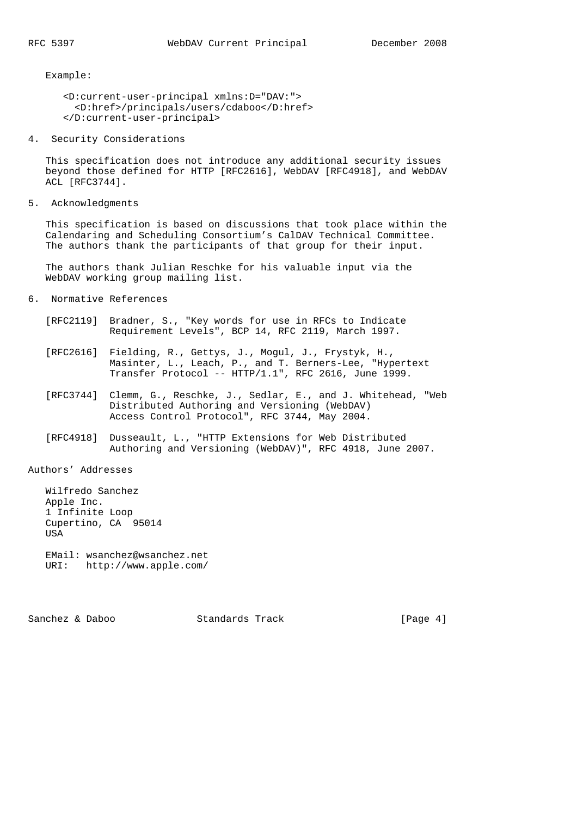Example:

```
 <D:current-user-principal xmlns:D="DAV:">
  <D:href>/principals/users/cdaboo</D:href>
</D:current-user-principal>
```
4. Security Considerations

 This specification does not introduce any additional security issues beyond those defined for HTTP [RFC2616], WebDAV [RFC4918], and WebDAV ACL [RFC3744].

5. Acknowledgments

 This specification is based on discussions that took place within the Calendaring and Scheduling Consortium's CalDAV Technical Committee. The authors thank the participants of that group for their input.

 The authors thank Julian Reschke for his valuable input via the WebDAV working group mailing list.

- 6. Normative References
	- [RFC2119] Bradner, S., "Key words for use in RFCs to Indicate Requirement Levels", BCP 14, RFC 2119, March 1997.
	- [RFC2616] Fielding, R., Gettys, J., Mogul, J., Frystyk, H., Masinter, L., Leach, P., and T. Berners-Lee, "Hypertext Transfer Protocol -- HTTP/1.1", RFC 2616, June 1999.
	- [RFC3744] Clemm, G., Reschke, J., Sedlar, E., and J. Whitehead, "Web Distributed Authoring and Versioning (WebDAV) Access Control Protocol", RFC 3744, May 2004.
	- [RFC4918] Dusseault, L., "HTTP Extensions for Web Distributed Authoring and Versioning (WebDAV)", RFC 4918, June 2007.

### Authors' Addresses

 Wilfredo Sanchez Apple Inc. 1 Infinite Loop Cupertino, CA 95014 **USA** EMail: wsanchez@wsanchez.net

URI: http://www.apple.com/

Sanchez & Daboo Standards Track [Page 4]